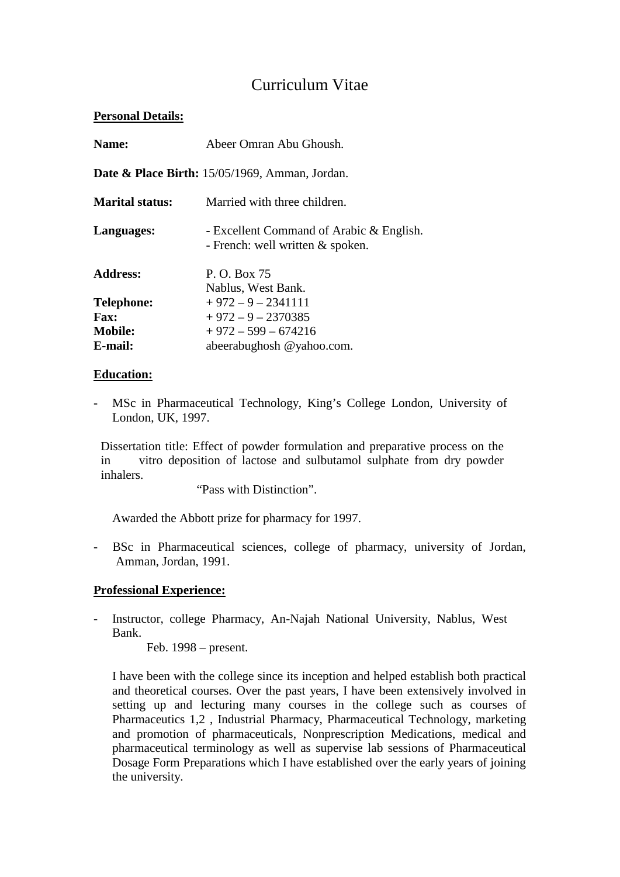# Curriculum Vitae

### **Personal Details:**

| Name:                                                        | Abeer Omran Abu Ghoush.                                                        |
|--------------------------------------------------------------|--------------------------------------------------------------------------------|
| <b>Date &amp; Place Birth:</b> $15/05/1969$ , Amman, Jordan. |                                                                                |
| <b>Marital status:</b>                                       | Married with three children.                                                   |
| Languages:                                                   | - Excellent Command of Arabic & English.<br>- French: well written $&$ spoken. |
| <b>Address:</b>                                              | P. O. Box 75<br>Nablus, West Bank.                                             |
| <b>Telephone:</b>                                            | $+972 - 9 - 2341111$                                                           |
| <b>Fax:</b>                                                  | $+972 - 9 - 2370385$                                                           |
| <b>Mobile:</b>                                               | $+972 - 599 - 674216$                                                          |
| E-mail:                                                      | abeerabughosh @yahoo.com.                                                      |

### **Education:**

- MSc in Pharmaceutical Technology, King's College London, University of London, UK, 1997.

Dissertation title: Effect of powder formulation and preparative process on the in vitro deposition of lactose and sulbutamol sulphate from dry powder inhalers.

"Pass with Distinction".

Awarded the Abbott prize for pharmacy for 1997.

- BSc in Pharmaceutical sciences, college of pharmacy, university of Jordan, Amman, Jordan, 1991.

### **Professional Experience:**

- Instructor, college Pharmacy, An-Najah National University, Nablus, West Bank.

Feb. 1998 – present.

I have been with the college since its inception and helped establish both practical and theoretical courses. Over the past years, I have been extensively involved in setting up and lecturing many courses in the college such as courses of Pharmaceutics 1,2 , Industrial Pharmacy, Pharmaceutical Technology, marketing and promotion of pharmaceuticals, Nonprescription Medications, medical and pharmaceutical terminology as well as supervise lab sessions of Pharmaceutical Dosage Form Preparations which I have established over the early years of joining the university.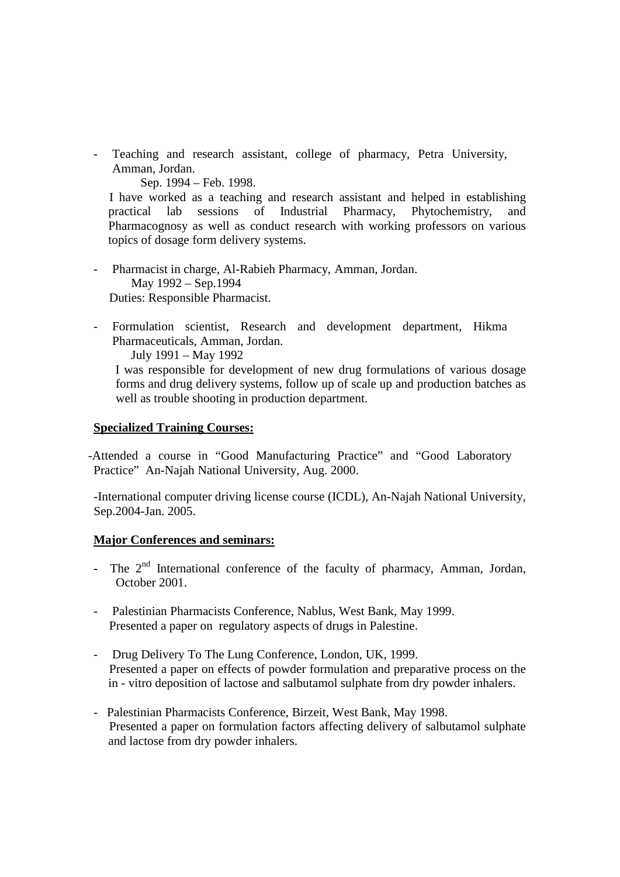- Teaching and research assistant, college of pharmacy, Petra University, Amman, Jordan.

Sep. 1994 – Feb. 1998.

I have worked as a teaching and research assistant and helped in establishing practical lab sessions of Industrial Pharmacy, Phytochemistry, and Pharmacognosy as well as conduct research with working professors on various topics of dosage form delivery systems.

- Pharmacist in charge, Al-Rabieh Pharmacy, Amman, Jordan. May 1992 – Sep.1994 Duties: Responsible Pharmacist.
- Formulation scientist, Research and development department, Hikma Pharmaceuticals, Amman, Jordan. July 1991 – May 1992

I was responsible for development of new drug formulations of various dosage forms and drug delivery systems, follow up of scale up and production batches as well as trouble shooting in production department.

#### **Specialized Training Courses:**

-Attended a course in "Good Manufacturing Practice" and "Good Laboratory Practice" An-Najah National University, Aug. 2000.

-International computer driving license course (ICDL), An-Najah National University, Sep.2004-Jan. 2005.

### **Major Conferences and seminars:**

- **-** The 2nd International conference of the faculty of pharmacy, Amman, Jordan, October 2001.
- Palestinian Pharmacists Conference, Nablus, West Bank, May 1999. Presented a paper on regulatory aspects of drugs in Palestine.
- Drug Delivery To The Lung Conference, London, UK, 1999. Presented a paper on effects of powder formulation and preparative process on the in - vitro deposition of lactose and salbutamol sulphate from dry powder inhalers.
- Palestinian Pharmacists Conference, Birzeit, West Bank, May 1998. Presented a paper on formulation factors affecting delivery of salbutamol sulphate and lactose from dry powder inhalers.